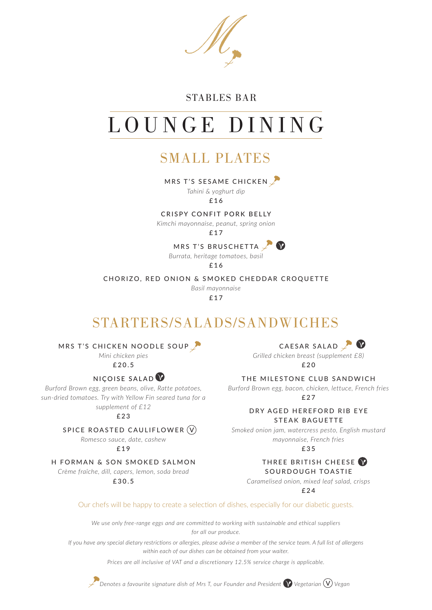## STABLES BAR

# LOUNGE DINING

## SMALL PLATES

MRS T'S SESAME CHICKEN

*Tahini & yoghurt dip*

£16

#### CRISPY CONFIT PORK BELLY

*Kimchi mayonnaise, peanut, spring onion*

£17

MRS T'S BRUSCHETTA  $\blacksquare$ 

*Burrata, heritage tomatoes, basil*  £16

CHORIZO, RED ONION & SMOKED CHEDDAR CROQUETTE

*Basil mayonnaise*  £17

# STARTERS/SALADS/SANDWICHES

MRS T'S CHICKEN NOODLE SOUP

*Mini chicken pies*

£20.5

### NICOISE SALAD $\mathbf V$

*Burford Brown egg, green beans, olive, Ratte potatoes, sun-dried tomatoes. Try with Yellow Fin seared tuna for a supplement of £12*

£23

### SPICE ROASTED CAULIFLOWER V

*Romesco sauce, date, cashew*

£19

#### H FORMAN & SON SMOKED SALMON

*Crème fraîche, dill, capers, lemon, soda bread* £30.5

CAESAR SALAD

*Grilled chicken breast (supplement £8)*  $f$ 20

THE MILESTONE CLUB SANDWICH

*Burford Brown egg, bacon, chicken, lettuce, French fries* £27

> DRY AGED HEREFORD RIB EYE STEAK BAGUETTE

*Smoked onion jam, watercress pesto, English mustard mayonnaise, French fries*

£35

#### THREE BRITISH CHEESE SOURDOUGH TOASTIE

*Caramelised onion, mixed leaf salad, crisps*

£24

Our chefs will be happy to create a selection of dishes, especially for our diabetic guests.

*We use only free-range eggs and are committed to working with sustainable and ethical suppliers for all our produce.*

*If you have any special dietary restrictions or allergies, please advise a member of the service team. A full list of allergens within each of our dishes can be obtained from your waiter.*

*Prices are all inclusive of VAT and a discretionary 12.5% service charge is applicable.*



*Denotes a favourite signature dish of Mrs T, our Founder and President Vegetarian* V *Vegan*